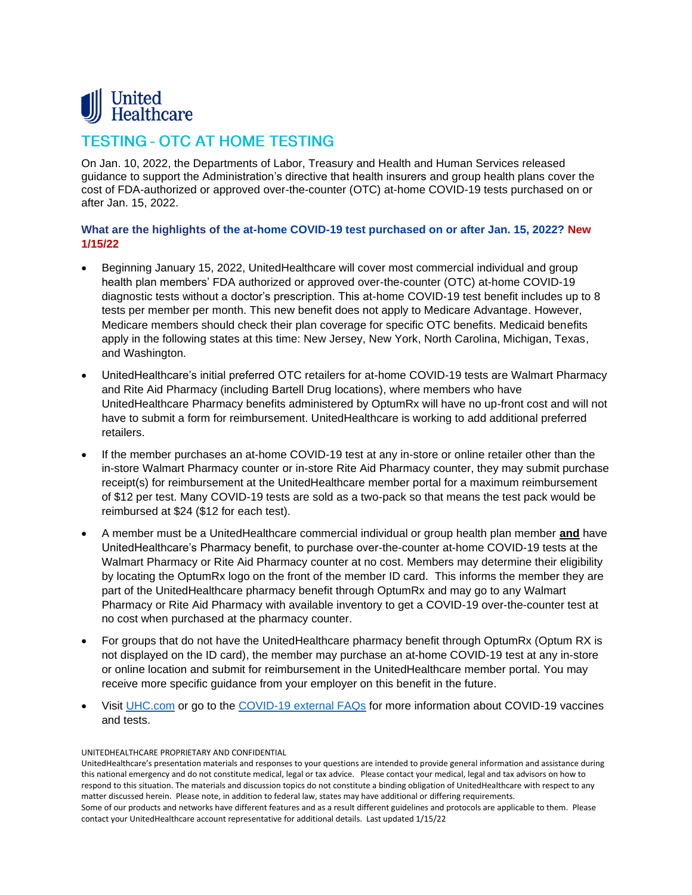

# **TESTING - OTC AT HOME TESTING**

On Jan. 10, 2022, the Departments of Labor, Treasury and Health and Human Services released guidance to support the Administration's directive that health insurers and group health plans cover the cost of FDA-authorized or approved over-the-counter (OTC) at-home COVID-19 tests purchased on or after Jan. 15, 2022.

## **What are the highlights of the at-home COVID-19 test purchased on or after Jan. 15, 2022? New 1/15/22**

- Beginning January 15, 2022, UnitedHealthcare will cover most commercial individual and group health plan members' FDA authorized or approved over-the-counter (OTC) at-home COVID-19 diagnostic tests without a doctor's prescription. This at-home COVID-19 test benefit includes up to 8 tests per member per month. This new benefit does not apply to Medicare Advantage. However, Medicare members should check their plan coverage for specific OTC benefits. Medicaid benefits apply in the following states at this time: New Jersey, New York, North Carolina, Michigan, Texas, and Washington.
- UnitedHealthcare's initial preferred OTC retailers for at-home COVID-19 tests are Walmart Pharmacy and Rite Aid Pharmacy (including Bartell Drug locations), where members who have UnitedHealthcare Pharmacy benefits administered by OptumRx will have no up-front cost and will not have to submit a form for reimbursement. UnitedHealthcare is working to add additional preferred retailers.
- If the member purchases an at-home COVID-19 test at any in-store or online retailer other than the in-store Walmart Pharmacy counter or in-store Rite Aid Pharmacy counter, they may submit purchase receipt(s) for reimbursement at the UnitedHealthcare member portal for a maximum reimbursement of \$12 per test. Many COVID-19 tests are sold as a two-pack so that means the test pack would be reimbursed at \$24 (\$12 for each test).
- A member must be a UnitedHealthcare commercial individual or group health plan member **and** have UnitedHealthcare's Pharmacy benefit, to purchase over-the-counter at-home COVID-19 tests at the Walmart Pharmacy or Rite Aid Pharmacy counter at no cost. Members may determine their eligibility by locating the OptumRx logo on the front of the member ID card. This informs the member they are part of the UnitedHealthcare pharmacy benefit through OptumRx and may go to any Walmart Pharmacy or Rite Aid Pharmacy with available inventory to get a COVID-19 over-the-counter test at no cost when purchased at the pharmacy counter.
- For groups that do not have the UnitedHealthcare pharmacy benefit through OptumRx (Optum RX is not displayed on the ID card), the member may purchase an at-home COVID-19 test at any in-store or online location and submit for reimbursement in the UnitedHealthcare member portal. You may receive more specific guidance from your employer on this benefit in the future.
- Visit [UHC.com](https://www.uhc.com/health-and-wellness/health-topics/covid-19) or go to the [COVID-19 external FAQs](https://www.uhc.com/employer/faq-employer) for more information about COVID-19 vaccines and tests.

#### UNITEDHEALTHCARE PROPRIETARY AND CONFIDENTIAL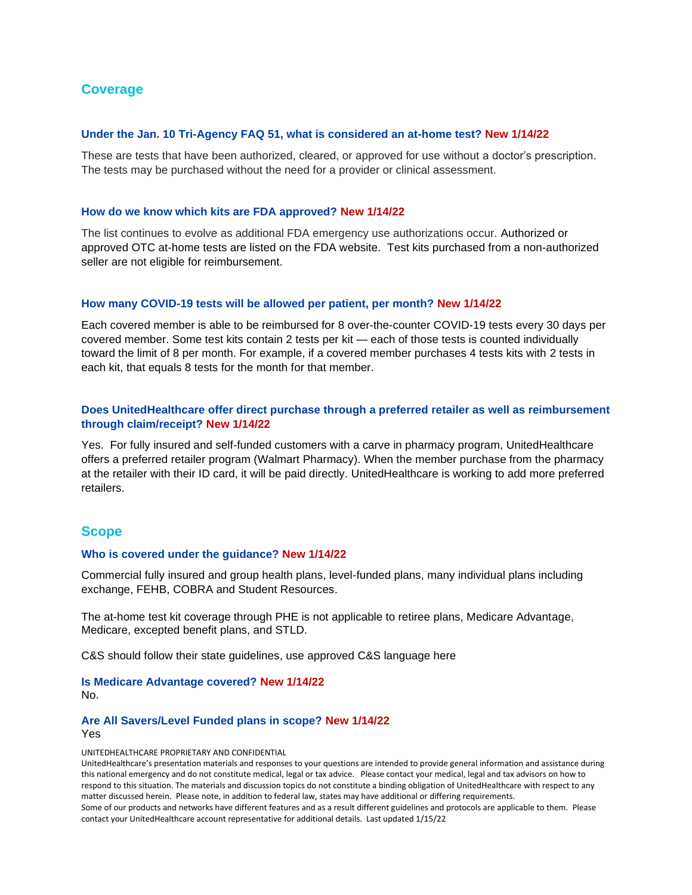## **Coverage**

### **Under the Jan. 10 Tri-Agency FAQ 51, what is considered an at-home test? New 1/14/22**

These are tests that have been authorized, cleared, or approved for use without a doctor's prescription. The tests may be purchased without the need for a provider or clinical assessment.

### **How do we know which kits are FDA approved? New 1/14/22**

The list continues to evolve as additional FDA emergency use authorizations occur. Authorized or approved OTC at-home tests are listed on the FDA website. Test kits purchased from a non-authorized seller are not eligible for reimbursement.

### **How many COVID-19 tests will be allowed per patient, per month? New 1/14/22**

Each covered member is able to be reimbursed for 8 over-the-counter COVID-19 tests every 30 days per covered member. Some test kits contain 2 tests per kit — each of those tests is counted individually toward the limit of 8 per month. For example, if a covered member purchases 4 tests kits with 2 tests in each kit, that equals 8 tests for the month for that member.

## **Does UnitedHealthcare offer direct purchase through a preferred retailer as well as reimbursement through claim/receipt? New 1/14/22**

Yes. For fully insured and self-funded customers with a carve in pharmacy program, UnitedHealthcare offers a preferred retailer program (Walmart Pharmacy). When the member purchase from the pharmacy at the retailer with their ID card, it will be paid directly. UnitedHealthcare is working to add more preferred retailers.

## **Scope**

### **Who is covered under the guidance? New 1/14/22**

Commercial fully insured and group health plans, level-funded plans, many individual plans including exchange, FEHB, COBRA and Student Resources.

The at-home test kit coverage through PHE is not applicable to retiree plans, Medicare Advantage, Medicare, excepted benefit plans, and STLD.

C&S should follow their state guidelines, use approved C&S language here

**Is Medicare Advantage covered? New 1/14/22** No.

### **Are All Savers/Level Funded plans in scope? New 1/14/22**

Yes

UNITEDHEALTHCARE PROPRIETARY AND CONFIDENTIAL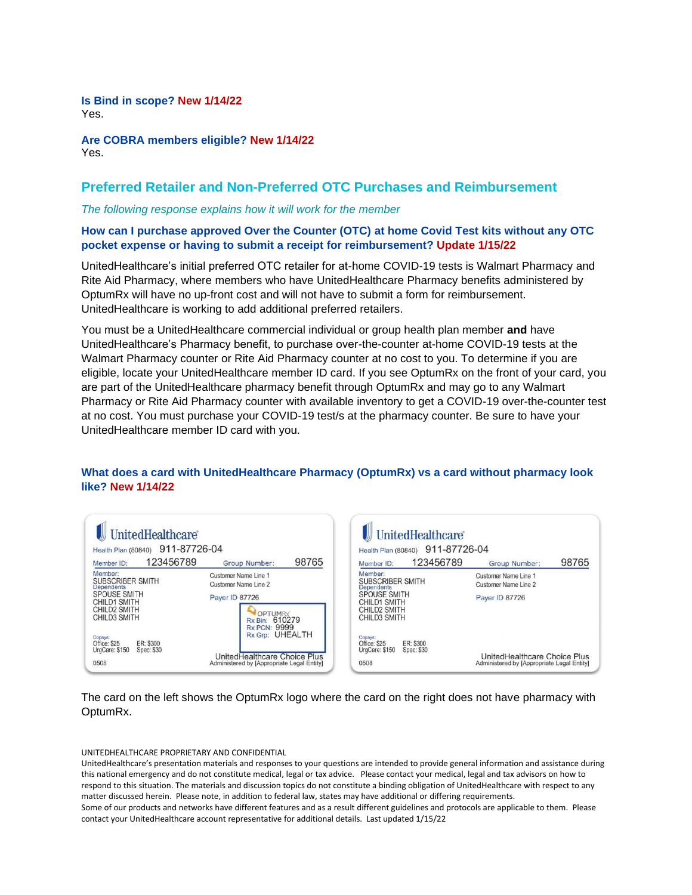**Is Bind in scope? New 1/14/22** Yes.

**Are COBRA members eligible? New 1/14/22** Yes.

## **Preferred Retailer and Non-Preferred OTC Purchases and Reimbursement**

### *The following response explains how it will work for the member*

## **How can I purchase approved Over the Counter (OTC) at home Covid Test kits without any OTC pocket expense or having to submit a receipt for reimbursement? Update 1/15/22**

UnitedHealthcare's initial preferred OTC retailer for at-home COVID-19 tests is Walmart Pharmacy and Rite Aid Pharmacy, where members who have UnitedHealthcare Pharmacy benefits administered by OptumRx will have no up-front cost and will not have to submit a form for reimbursement. UnitedHealthcare is working to add additional preferred retailers.

You must be a UnitedHealthcare commercial individual or group health plan member **and** have UnitedHealthcare's Pharmacy benefit, to purchase over-the-counter at-home COVID-19 tests at the Walmart Pharmacy counter or Rite Aid Pharmacy counter at no cost to you. To determine if you are eligible, locate your UnitedHealthcare member ID card. If you see OptumRx on the front of your card, you are part of the UnitedHealthcare pharmacy benefit through OptumRx and may go to any Walmart Pharmacy or Rite Aid Pharmacy counter with available inventory to get a COVID-19 over-the-counter test at no cost. You must purchase your COVID-19 test/s at the pharmacy counter. Be sure to have your UnitedHealthcare member ID card with you.

| Health Plan (80840) 911-87726-04                                                                                                      |           |                                                                           |       |  |
|---------------------------------------------------------------------------------------------------------------------------------------|-----------|---------------------------------------------------------------------------|-------|--|
| Member ID:                                                                                                                            | 123456789 | Group Number:                                                             | 98765 |  |
| Member:<br><b>SUBSCRIBER SMITH</b><br><b>Dependents</b><br><b>SPOUSE SMITH</b><br><b>CHILD1 SMITH</b><br>CHILD2 SMITH<br>CHILD3 SMITH |           | Customer Name Line 1<br>Customer Name Line 2                              |       |  |
|                                                                                                                                       |           | Payer ID 87726<br><b>OPTUMRx</b><br>Rx Bin: 610279<br><b>Rx PCN: 9999</b> |       |  |
| Copays:<br>Office: \$25<br>ER: \$300<br>UrgCare: \$150<br>Spec: \$30                                                                  |           | Rx Grp: UHEALTH                                                           |       |  |

| UnitedHealthcare<br>911-87726-04<br>Health Plan (80840)              |                                                                            |       |  |  |
|----------------------------------------------------------------------|----------------------------------------------------------------------------|-------|--|--|
| 123456789<br>Member ID:                                              | <b>Group Number:</b>                                                       | 98765 |  |  |
| Member:<br>SUBSCRIBER SMITH<br><b>Dependents</b>                     | Customer Name Line 1<br><b>Customer Name Line 2</b>                        |       |  |  |
| <b>SPOUSE SMITH</b><br>CHILD1 SMITH<br>CHILD2 SMITH<br>CHILD3 SMITH  | <b>Payer ID 87726</b>                                                      |       |  |  |
| Copays:<br>ER: \$300<br>Office: \$25<br>UrgCare: \$150<br>Spec: \$30 |                                                                            |       |  |  |
| 0508                                                                 | UnitedHealthcare Choice Plus<br>Administered by [Appropriate Legal Entity] |       |  |  |

The card on the left shows the OptumRx logo where the card on the right does not have pharmacy with OptumRx.

UNITEDHEALTHCARE PROPRIETARY AND CONFIDENTIAL

UnitedHealthcare's presentation materials and responses to your questions are intended to provide general information and assistance during this national emergency and do not constitute medical, legal or tax advice. Please contact your medical, legal and tax advisors on how to respond to this situation. The materials and discussion topics do not constitute a binding obligation of UnitedHealthcare with respect to any matter discussed herein. Please note, in addition to federal law, states may have additional or differing requirements. Some of our products and networks have different features and as a result different guidelines and protocols are applicable to them. Please contact your UnitedHealthcare account representative for additional details. Last updated 1/15/22

## **What does a card with UnitedHealthcare Pharmacy (OptumRx) vs a card without pharmacy look like? New 1/14/22**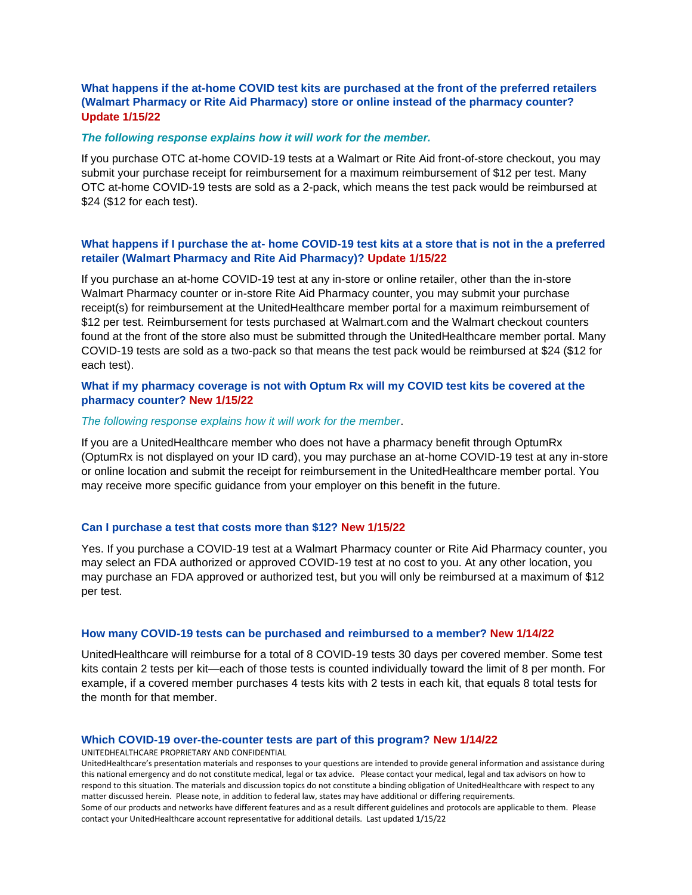## **What happens if the at-home COVID test kits are purchased at the front of the preferred retailers (Walmart Pharmacy or Rite Aid Pharmacy) store or online instead of the pharmacy counter? Update 1/15/22**

### *The following response explains how it will work for the member.*

If you purchase OTC at-home COVID-19 tests at a Walmart or Rite Aid front-of-store checkout, you may submit your purchase receipt for reimbursement for a maximum reimbursement of \$12 per test. Many OTC at-home COVID-19 tests are sold as a 2-pack, which means the test pack would be reimbursed at \$24 (\$12 for each test).

## **What happens if I purchase the at- home COVID-19 test kits at a store that is not in the a preferred retailer (Walmart Pharmacy and Rite Aid Pharmacy)? Update 1/15/22**

If you purchase an at-home COVID-19 test at any in-store or online retailer, other than the in-store Walmart Pharmacy counter or in-store Rite Aid Pharmacy counter, you may submit your purchase receipt(s) for reimbursement at the UnitedHealthcare member portal for a maximum reimbursement of \$12 per test. Reimbursement for tests purchased at Walmart.com and the Walmart checkout counters found at the front of the store also must be submitted through the UnitedHealthcare member portal. Many COVID-19 tests are sold as a two-pack so that means the test pack would be reimbursed at \$24 (\$12 for each test).

## **What if my pharmacy coverage is not with Optum Rx will my COVID test kits be covered at the pharmacy counter? New 1/15/22**

### *The following response explains how it will work for the member*.

If you are a UnitedHealthcare member who does not have a pharmacy benefit through OptumRx (OptumRx is not displayed on your ID card), you may purchase an at-home COVID-19 test at any in-store or online location and submit the receipt for reimbursement in the UnitedHealthcare member portal. You may receive more specific guidance from your employer on this benefit in the future.

### **Can I purchase a test that costs more than \$12? New 1/15/22**

Yes. If you purchase a COVID-19 test at a Walmart Pharmacy counter or Rite Aid Pharmacy counter, you may select an FDA authorized or approved COVID-19 test at no cost to you. At any other location, you may purchase an FDA approved or authorized test, but you will only be reimbursed at a maximum of \$12 per test.

## **How many COVID-19 tests can be purchased and reimbursed to a member? New 1/14/22**

UnitedHealthcare will reimburse for a total of 8 COVID-19 tests 30 days per covered member. Some test kits contain 2 tests per kit—each of those tests is counted individually toward the limit of 8 per month. For example, if a covered member purchases 4 tests kits with 2 tests in each kit, that equals 8 total tests for the month for that member.

#### **Which COVID-19 over-the-counter tests are part of this program? New 1/14/22**

UNITEDHEALTHCARE PROPRIETARY AND CONFIDENTIAL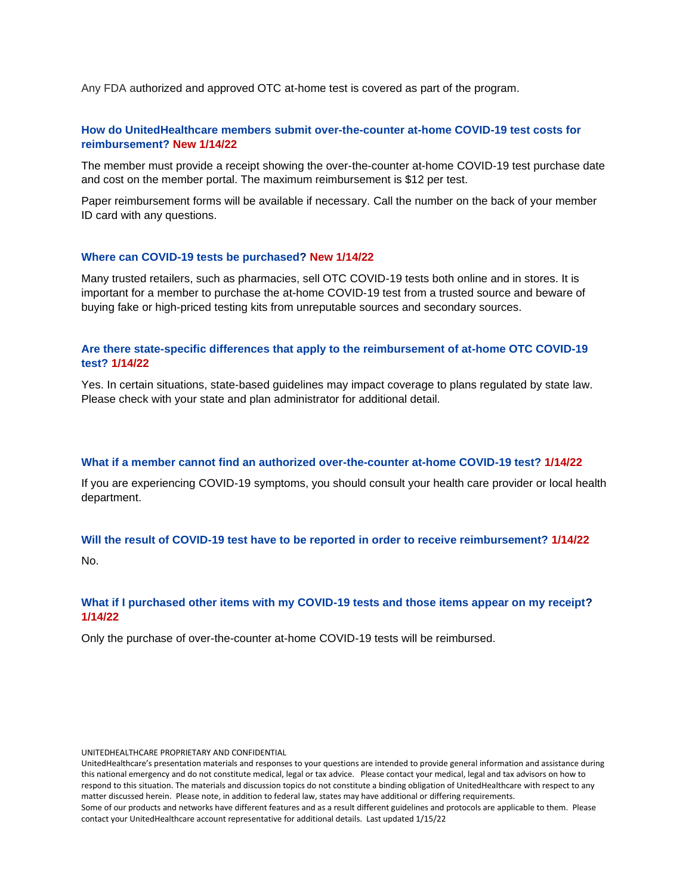Any FDA authorized and approved OTC at-home test is covered as part of the program.

## **How do UnitedHealthcare members submit over-the-counter at-home COVID-19 test costs for reimbursement? New 1/14/22**

The member must provide a receipt showing the over-the-counter at-home COVID-19 test purchase date and cost on the member portal. The maximum reimbursement is \$12 per test.

Paper reimbursement forms will be available if necessary. Call the number on the back of your member ID card with any questions.

### **Where can COVID-19 tests be purchased? New 1/14/22**

Many trusted retailers, such as pharmacies, sell OTC COVID-19 tests both online and in stores. It is important for a member to purchase the at-home COVID-19 test from a trusted source and beware of buying fake or high-priced testing kits from unreputable sources and secondary sources.

## **Are there state-specific differences that apply to the reimbursement of at-home OTC COVID-19 test? 1/14/22**

Yes. In certain situations, state-based guidelines may impact coverage to plans regulated by state law. Please check with your state and plan administrator for additional detail.

### **What if a member cannot find an authorized over-the-counter at-home COVID-19 test? 1/14/22**

If you are experiencing COVID-19 symptoms, you should consult your health care provider or local health department.

### **Will the result of COVID-19 test have to be reported in order to receive reimbursement? 1/14/22**

No.

## **What if I purchased other items with my COVID-19 tests and those items appear on my receipt? 1/14/22**

Only the purchase of over-the-counter at-home COVID-19 tests will be reimbursed.

UNITEDHEALTHCARE PROPRIETARY AND CONFIDENTIAL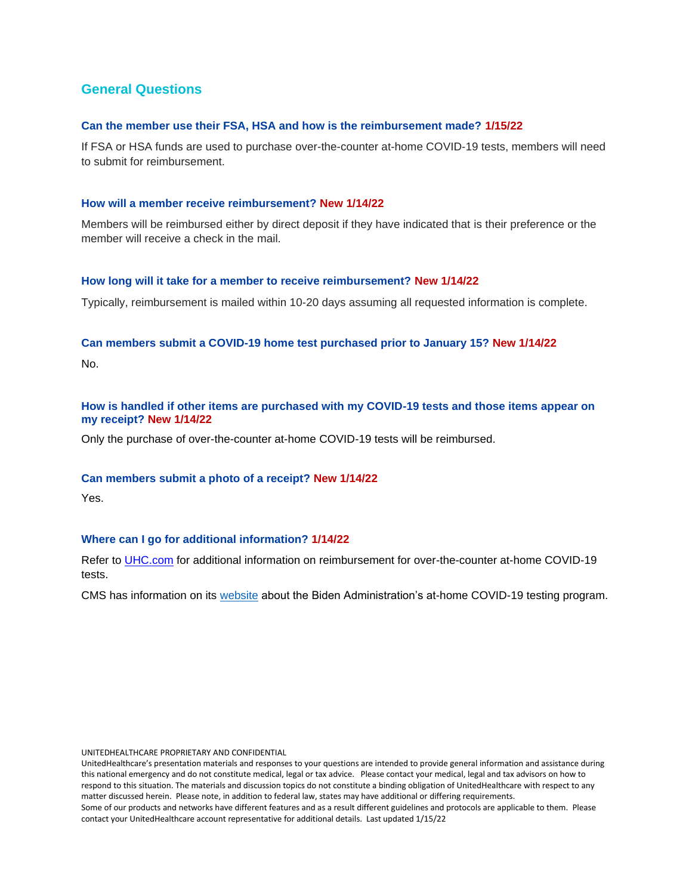## **General Questions**

### **Can the member use their FSA, HSA and how is the reimbursement made? 1/15/22**

If FSA or HSA funds are used to purchase over-the-counter at-home COVID-19 tests, members will need to submit for reimbursement.

### **How will a member receive reimbursement? New 1/14/22**

Members will be reimbursed either by direct deposit if they have indicated that is their preference or the member will receive a check in the mail.

### **How long will it take for a member to receive reimbursement? New 1/14/22**

Typically, reimbursement is mailed within 10-20 days assuming all requested information is complete.

## **Can members submit a COVID-19 home test purchased prior to January 15? New 1/14/22**

No.

## **How is handled if other items are purchased with my COVID-19 tests and those items appear on my receipt? New 1/14/22**

Only the purchase of over-the-counter at-home COVID-19 tests will be reimbursed.

## **Can members submit a photo of a receipt? New 1/14/22**

Yes.

## **Where can I go for additional information? 1/14/22**

Refer to [UHC.com](https://www.uhc.com/health-and-wellness/health-topics/covid-19) for additional information on reimbursement for over-the-counter at-home COVID-19 tests.

CMS has information on its [website](https://www.cms.gov/how-to-get-your-at-home-OTC-COVID-19-test-for-free) about the Biden Administration's at-home COVID-19 testing program.

UNITEDHEALTHCARE PROPRIETARY AND CONFIDENTIAL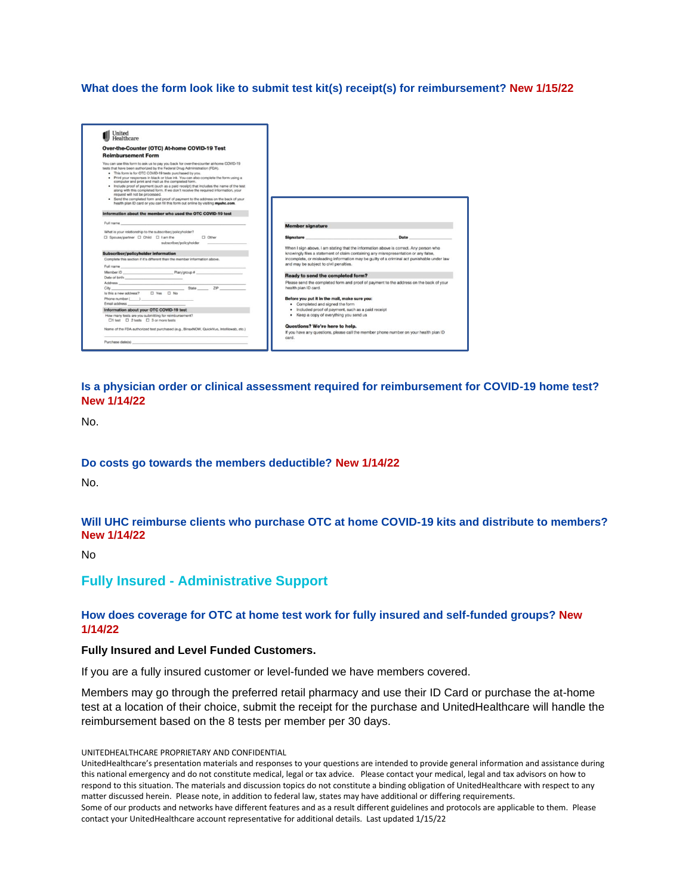## **What does the form look like to submit test kit(s) receipt(s) for reimbursement? New 1/15/22**



## **Is a physician order or clinical assessment required for reimbursement for COVID-19 home test? New 1/14/22**

No.

### **Do costs go towards the members deductible? New 1/14/22**

No.

## **Will UHC reimburse clients who purchase OTC at home COVID-19 kits and distribute to members? New 1/14/22**

No

## **Fully Insured - Administrative Support**

## **How does coverage for OTC at home test work for fully insured and self-funded groups? New 1/14/22**

### **Fully Insured and Level Funded Customers.**

If you are a fully insured customer or level-funded we have members covered.

Members may go through the preferred retail pharmacy and use their ID Card or purchase the at-home test at a location of their choice, submit the receipt for the purchase and UnitedHealthcare will handle the reimbursement based on the 8 tests per member per 30 days.

UNITEDHEALTHCARE PROPRIETARY AND CONFIDENTIAL

UnitedHealthcare's presentation materials and responses to your questions are intended to provide general information and assistance during this national emergency and do not constitute medical, legal or tax advice. Please contact your medical, legal and tax advisors on how to respond to this situation. The materials and discussion topics do not constitute a binding obligation of UnitedHealthcare with respect to any matter discussed herein. Please note, in addition to federal law, states may have additional or differing requirements. Some of our products and networks have different features and as a result different guidelines and protocols are applicable to them. Please contact your UnitedHealthcare account representative for additional details. Last updated 1/15/22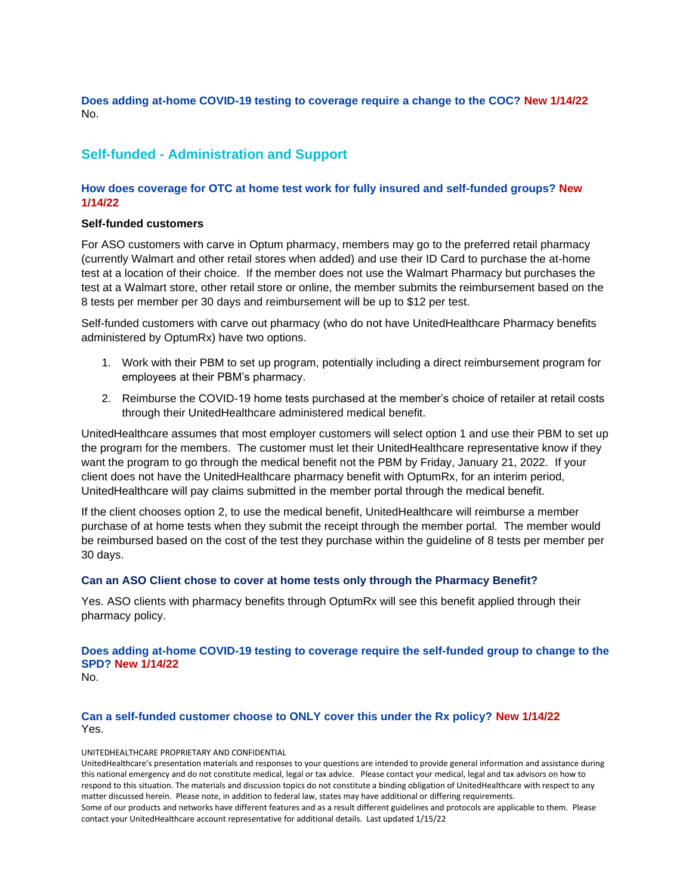**Does adding at-home COVID-19 testing to coverage require a change to the COC? New 1/14/22** No.

## **Self-funded - Administration and Support**

## **How does coverage for OTC at home test work for fully insured and self-funded groups? New 1/14/22**

### **Self-funded customers**

For ASO customers with carve in Optum pharmacy, members may go to the preferred retail pharmacy (currently Walmart and other retail stores when added) and use their ID Card to purchase the at-home test at a location of their choice. If the member does not use the Walmart Pharmacy but purchases the test at a Walmart store, other retail store or online, the member submits the reimbursement based on the 8 tests per member per 30 days and reimbursement will be up to \$12 per test.

Self-funded customers with carve out pharmacy (who do not have UnitedHealthcare Pharmacy benefits administered by OptumRx) have two options.

- 1. Work with their PBM to set up program, potentially including a direct reimbursement program for employees at their PBM's pharmacy.
- 2. Reimburse the COVID-19 home tests purchased at the member's choice of retailer at retail costs through their UnitedHealthcare administered medical benefit.

UnitedHealthcare assumes that most employer customers will select option 1 and use their PBM to set up the program for the members. The customer must let their UnitedHealthcare representative know if they want the program to go through the medical benefit not the PBM by Friday, January 21, 2022. If your client does not have the UnitedHealthcare pharmacy benefit with OptumRx, for an interim period, UnitedHealthcare will pay claims submitted in the member portal through the medical benefit.

If the client chooses option 2, to use the medical benefit, UnitedHealthcare will reimburse a member purchase of at home tests when they submit the receipt through the member portal. The member would be reimbursed based on the cost of the test they purchase within the guideline of 8 tests per member per 30 days.

## **Can an ASO Client chose to cover at home tests only through the Pharmacy Benefit?**

Yes. ASO clients with pharmacy benefits through OptumRx will see this benefit applied through their pharmacy policy.

**Does adding at-home COVID-19 testing to coverage require the self-funded group to change to the SPD? New 1/14/22**

No.

### **Can a self-funded customer choose to ONLY cover this under the Rx policy? New 1/14/22** Yes.

#### UNITEDHEALTHCARE PROPRIETARY AND CONFIDENTIAL